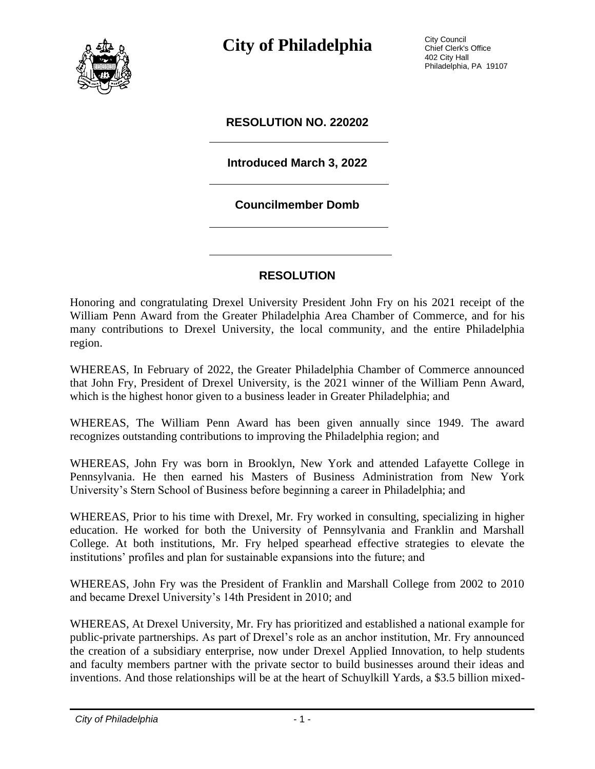

**City of Philadelphia** City Council

Chief Clerk's Office 402 City Hall Philadelphia, PA 19107

#### **RESOLUTION NO. 220202**

## **Introduced March 3, 2022**

#### **Councilmember Domb**

### **RESOLUTION**

Honoring and congratulating Drexel University President John Fry on his 2021 receipt of the William Penn Award from the Greater Philadelphia Area Chamber of Commerce, and for his many contributions to Drexel University, the local community, and the entire Philadelphia region.

WHEREAS, In February of 2022, the Greater Philadelphia Chamber of Commerce announced that John Fry, President of Drexel University, is the 2021 winner of the William Penn Award, which is the highest honor given to a business leader in Greater Philadelphia; and

WHEREAS, The William Penn Award has been given annually since 1949. The award recognizes outstanding contributions to improving the Philadelphia region; and

WHEREAS, John Fry was born in Brooklyn, New York and attended Lafayette College in Pennsylvania. He then earned his Masters of Business Administration from New York University's Stern School of Business before beginning a career in Philadelphia; and

WHEREAS, Prior to his time with Drexel, Mr. Fry worked in consulting, specializing in higher education. He worked for both the University of Pennsylvania and Franklin and Marshall College. At both institutions, Mr. Fry helped spearhead effective strategies to elevate the institutions' profiles and plan for sustainable expansions into the future; and

WHEREAS, John Fry was the President of Franklin and Marshall College from 2002 to 2010 and became Drexel University's 14th President in 2010; and

WHEREAS, At Drexel University, Mr. Fry has prioritized and established a national example for public-private partnerships. As part of Drexel's role as an anchor institution, Mr. Fry announced the creation of a subsidiary enterprise, now under Drexel Applied Innovation, to help students and faculty members partner with the private sector to build businesses around their ideas and inventions. And those relationships will be at the heart of Schuylkill Yards, a \$3.5 billion mixed-